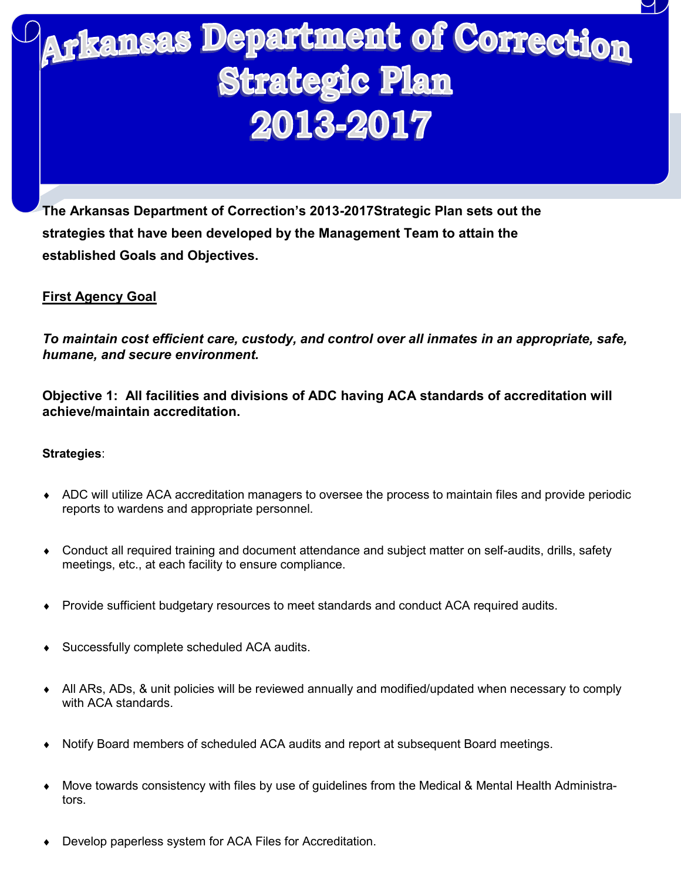# Arkansas Department of Correction **Strategic Plan** 2013-2017

**The Arkansas Department of Correction's 2013-2017Strategic Plan sets out the strategies that have been developed by the Management Team to attain the established Goals and Objectives.**

# **First Agency Goal**

*To maintain cost efficient care, custody, and control over all inmates in an appropriate, safe, humane, and secure environment.*

**Objective 1: All facilities and divisions of ADC having ACA standards of accreditation will achieve/maintain accreditation.**

- ADC will utilize ACA accreditation managers to oversee the process to maintain files and provide periodic reports to wardens and appropriate personnel.
- Conduct all required training and document attendance and subject matter on self-audits, drills, safety meetings, etc., at each facility to ensure compliance.
- Provide sufficient budgetary resources to meet standards and conduct ACA required audits.
- Successfully complete scheduled ACA audits.
- All ARs, ADs, & unit policies will be reviewed annually and modified/updated when necessary to comply with ACA standards.
- Notify Board members of scheduled ACA audits and report at subsequent Board meetings.
- Move towards consistency with files by use of guidelines from the Medical & Mental Health Administrators.
- Develop paperless system for ACA Files for Accreditation.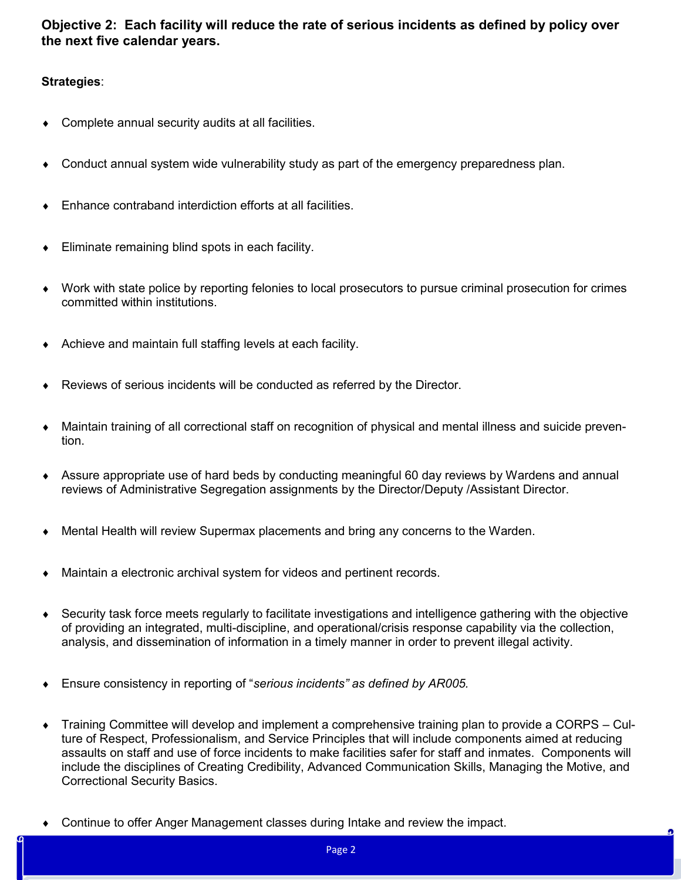**Objective 2: Each facility will reduce the rate of serious incidents as defined by policy over the next five calendar years.** 

- Complete annual security audits at all facilities.
- Conduct annual system wide vulnerability study as part of the emergency preparedness plan.
- Enhance contraband interdiction efforts at all facilities.
- Eliminate remaining blind spots in each facility.
- Work with state police by reporting felonies to local prosecutors to pursue criminal prosecution for crimes committed within institutions.
- Achieve and maintain full staffing levels at each facility.
- Reviews of serious incidents will be conducted as referred by the Director.
- Maintain training of all correctional staff on recognition of physical and mental illness and suicide prevention.
- Assure appropriate use of hard beds by conducting meaningful 60 day reviews by Wardens and annual reviews of Administrative Segregation assignments by the Director/Deputy /Assistant Director.
- Mental Health will review Supermax placements and bring any concerns to the Warden.
- Maintain a electronic archival system for videos and pertinent records.
- Security task force meets regularly to facilitate investigations and intelligence gathering with the objective of providing an integrated, multi-discipline, and operational/crisis response capability via the collection, analysis, and dissemination of information in a timely manner in order to prevent illegal activity.
- Ensure consistency in reporting of "*serious incidents" as defined by AR005.*
- Training Committee will develop and implement a comprehensive training plan to provide a CORPS Culture of Respect, Professionalism, and Service Principles that will include components aimed at reducing assaults on staff and use of force incidents to make facilities safer for staff and inmates. Components will include the disciplines of Creating Credibility, Advanced Communication Skills, Managing the Motive, and Correctional Security Basics.
- Continue to offer Anger Management classes during Intake and review the impact.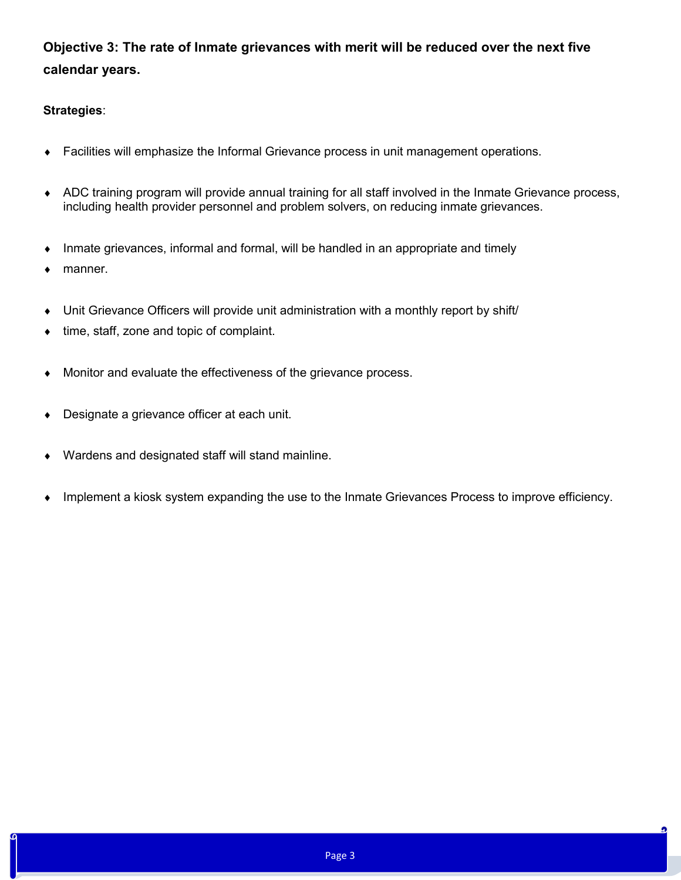# **Objective 3: The rate of Inmate grievances with merit will be reduced over the next five calendar years.**

### **Strategies**:

- Facilities will emphasize the Informal Grievance process in unit management operations.
- ADC training program will provide annual training for all staff involved in the Inmate Grievance process, including health provider personnel and problem solvers, on reducing inmate grievances.
- Inmate grievances, informal and formal, will be handled in an appropriate and timely
- manner.
- Unit Grievance Officers will provide unit administration with a monthly report by shift/
- time, staff, zone and topic of complaint.
- Monitor and evaluate the effectiveness of the grievance process.
- Designate a grievance officer at each unit.
- Wardens and designated staff will stand mainline.
- Implement a kiosk system expanding the use to the Inmate Grievances Process to improve efficiency.

ŋ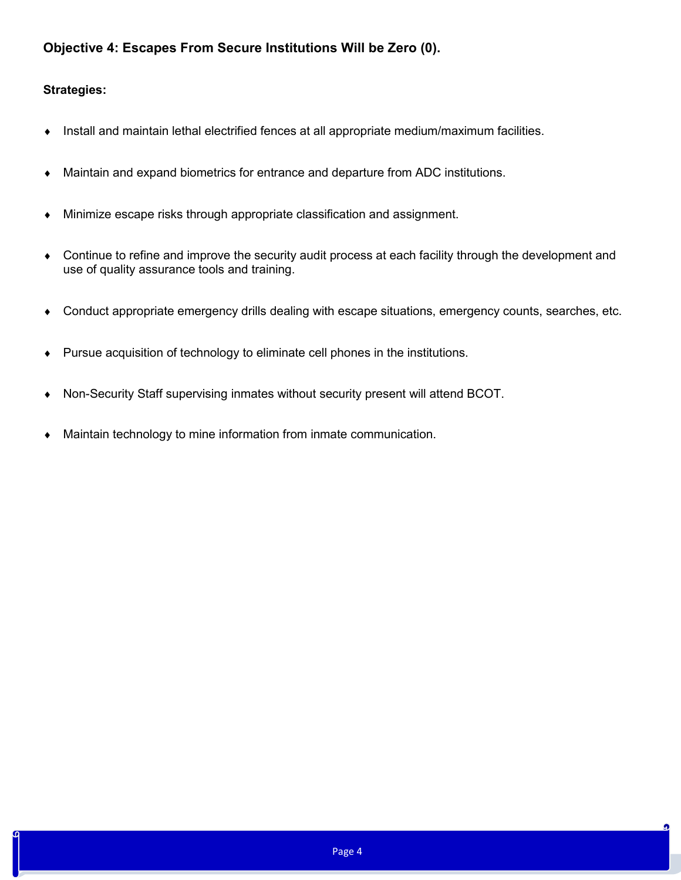# **Objective 4: Escapes From Secure Institutions Will be Zero (0).**

- Install and maintain lethal electrified fences at all appropriate medium/maximum facilities.
- Maintain and expand biometrics for entrance and departure from ADC institutions.
- Minimize escape risks through appropriate classification and assignment.
- Continue to refine and improve the security audit process at each facility through the development and use of quality assurance tools and training.
- Conduct appropriate emergency drills dealing with escape situations, emergency counts, searches, etc.
- Pursue acquisition of technology to eliminate cell phones in the institutions.
- Non-Security Staff supervising inmates without security present will attend BCOT.
- Maintain technology to mine information from inmate communication.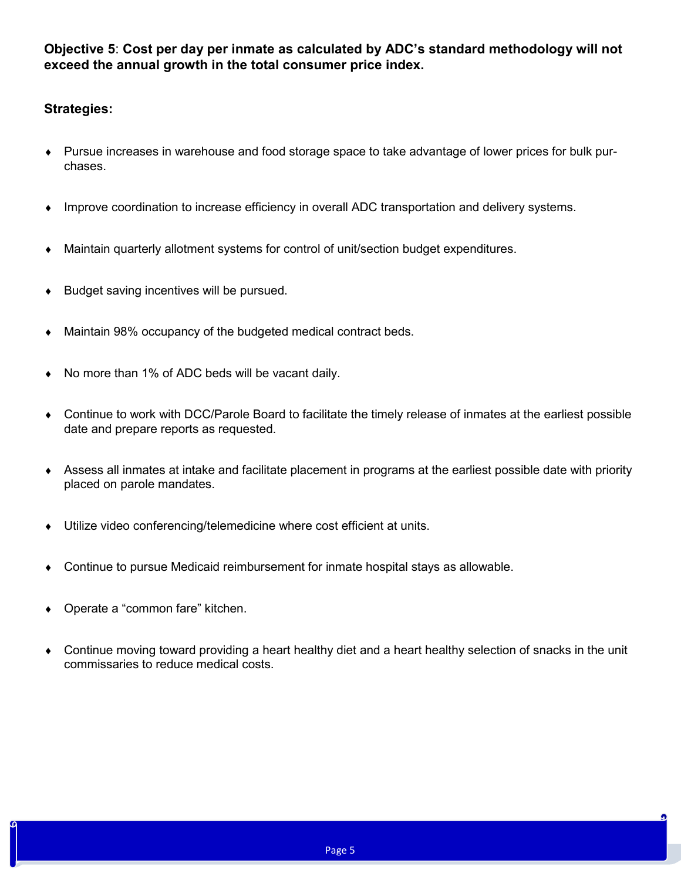**Objective 5**: **Cost per day per inmate as calculated by ADC's standard methodology will not exceed the annual growth in the total consumer price index.**

- Pursue increases in warehouse and food storage space to take advantage of lower prices for bulk purchases.
- Improve coordination to increase efficiency in overall ADC transportation and delivery systems.
- Maintain quarterly allotment systems for control of unit/section budget expenditures.
- $\bullet$  Budget saving incentives will be pursued.
- Maintain 98% occupancy of the budgeted medical contract beds.
- No more than 1% of ADC beds will be vacant daily.
- Continue to work with DCC/Parole Board to facilitate the timely release of inmates at the earliest possible date and prepare reports as requested.
- Assess all inmates at intake and facilitate placement in programs at the earliest possible date with priority placed on parole mandates.
- Utilize video conferencing/telemedicine where cost efficient at units.
- Continue to pursue Medicaid reimbursement for inmate hospital stays as allowable.
- Operate a "common fare" kitchen.
- Continue moving toward providing a heart healthy diet and a heart healthy selection of snacks in the unit commissaries to reduce medical costs.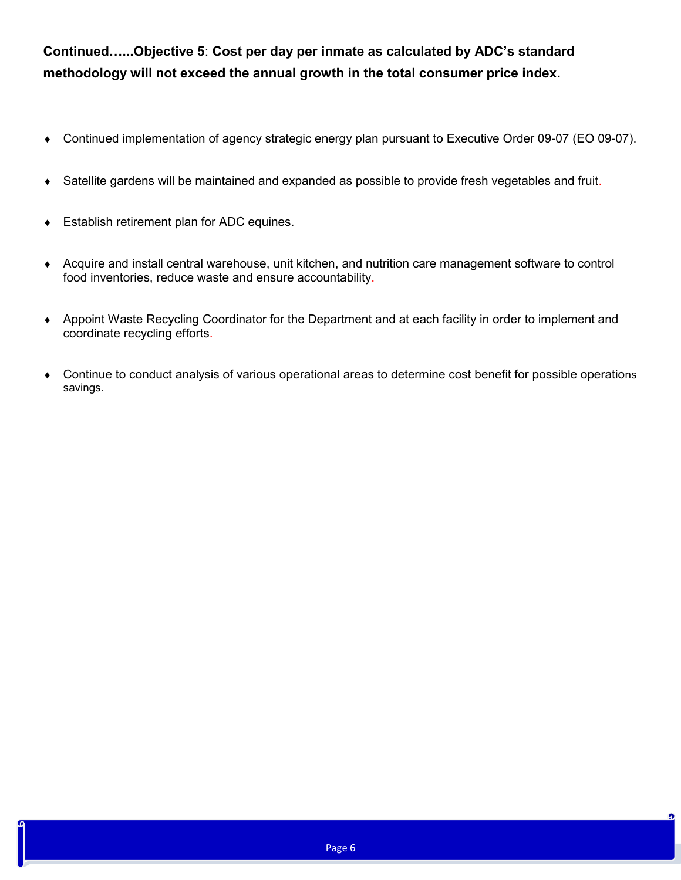**Continued…...Objective 5**: **Cost per day per inmate as calculated by ADC's standard methodology will not exceed the annual growth in the total consumer price index.**

- Continued implementation of agency strategic energy plan pursuant to Executive Order 09-07 (EO 09-07).
- Satellite gardens will be maintained and expanded as possible to provide fresh vegetables and fruit.
- Establish retirement plan for ADC equines.
- Acquire and install central warehouse, unit kitchen, and nutrition care management software to control food inventories, reduce waste and ensure accountability.
- Appoint Waste Recycling Coordinator for the Department and at each facility in order to implement and coordinate recycling efforts.
- Continue to conduct analysis of various operational areas to determine cost benefit for possible operations savings.

n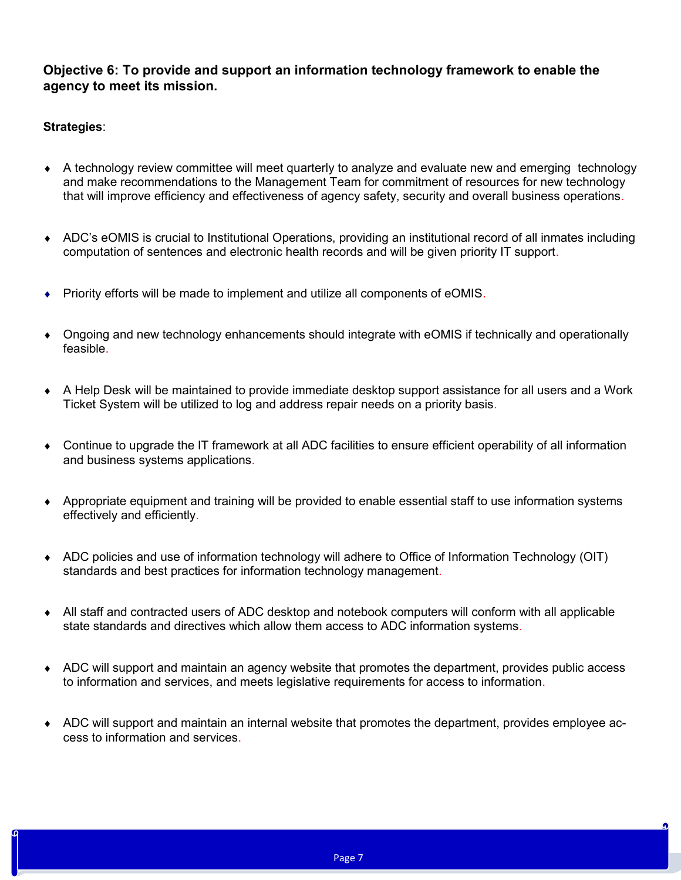# **Objective 6: To provide and support an information technology framework to enable the agency to meet its mission.**

- A technology review committee will meet quarterly to analyze and evaluate new and emerging technology and make recommendations to the Management Team for commitment of resources for new technology that will improve efficiency and effectiveness of agency safety, security and overall business operations.
- ADC's eOMIS is crucial to Institutional Operations, providing an institutional record of all inmates including computation of sentences and electronic health records and will be given priority IT support.
- Priority efforts will be made to implement and utilize all components of eOMIS.
- Ongoing and new technology enhancements should integrate with eOMIS if technically and operationally feasible.
- A Help Desk will be maintained to provide immediate desktop support assistance for all users and a Work Ticket System will be utilized to log and address repair needs on a priority basis.
- Continue to upgrade the IT framework at all ADC facilities to ensure efficient operability of all information and business systems applications.
- Appropriate equipment and training will be provided to enable essential staff to use information systems effectively and efficiently.
- ADC policies and use of information technology will adhere to Office of Information Technology (OIT) standards and best practices for information technology management.
- All staff and contracted users of ADC desktop and notebook computers will conform with all applicable state standards and directives which allow them access to ADC information systems.
- ADC will support and maintain an agency website that promotes the department, provides public access to information and services, and meets legislative requirements for access to information.
- ADC will support and maintain an internal website that promotes the department, provides employee access to information and services.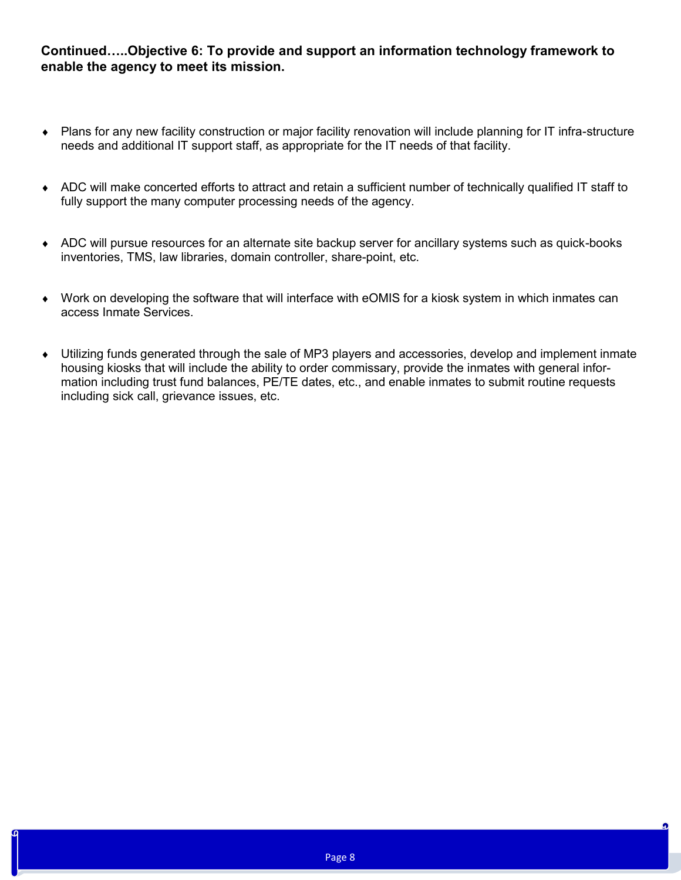### **Continued…..Objective 6: To provide and support an information technology framework to enable the agency to meet its mission.**

- Plans for any new facility construction or major facility renovation will include planning for IT infra-structure needs and additional IT support staff, as appropriate for the IT needs of that facility.
- ADC will make concerted efforts to attract and retain a sufficient number of technically qualified IT staff to fully support the many computer processing needs of the agency.
- ADC will pursue resources for an alternate site backup server for ancillary systems such as quick-books inventories, TMS, law libraries, domain controller, share-point, etc.
- Work on developing the software that will interface with eOMIS for a kiosk system in which inmates can access Inmate Services.
- Utilizing funds generated through the sale of MP3 players and accessories, develop and implement inmate housing kiosks that will include the ability to order commissary, provide the inmates with general information including trust fund balances, PE/TE dates, etc., and enable inmates to submit routine requests including sick call, grievance issues, etc.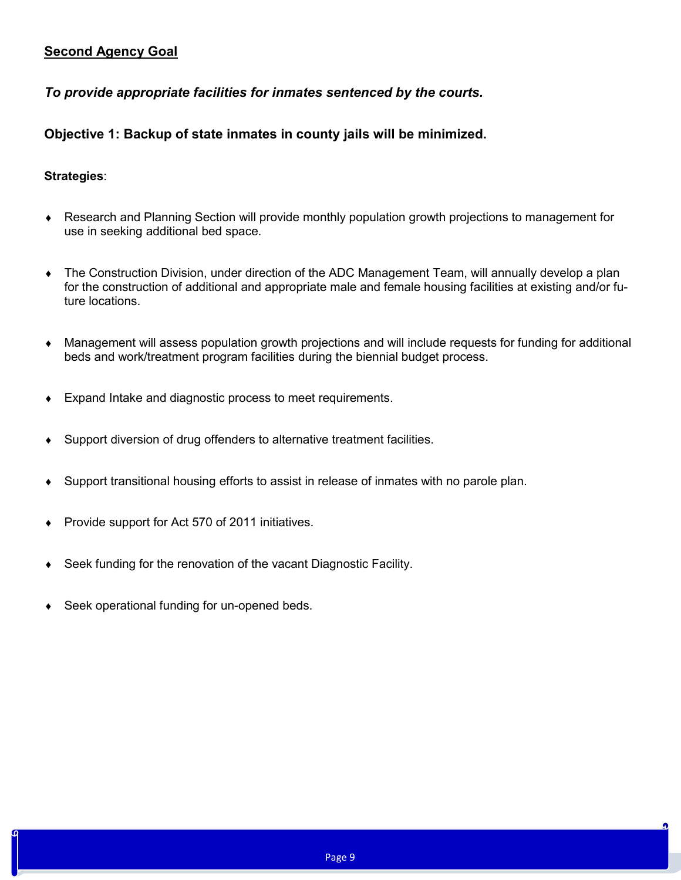# **Second Agency Goal**

### *To provide appropriate facilities for inmates sentenced by the courts.*

# **Objective 1: Backup of state inmates in county jails will be minimized.**

- Research and Planning Section will provide monthly population growth projections to management for use in seeking additional bed space.
- The Construction Division, under direction of the ADC Management Team, will annually develop a plan for the construction of additional and appropriate male and female housing facilities at existing and/or future locations.
- Management will assess population growth projections and will include requests for funding for additional beds and work/treatment program facilities during the biennial budget process.
- Expand Intake and diagnostic process to meet requirements.
- Support diversion of drug offenders to alternative treatment facilities.
- Support transitional housing efforts to assist in release of inmates with no parole plan.
- Provide support for Act 570 of 2011 initiatives.
- Seek funding for the renovation of the vacant Diagnostic Facility.
- Seek operational funding for un-opened beds.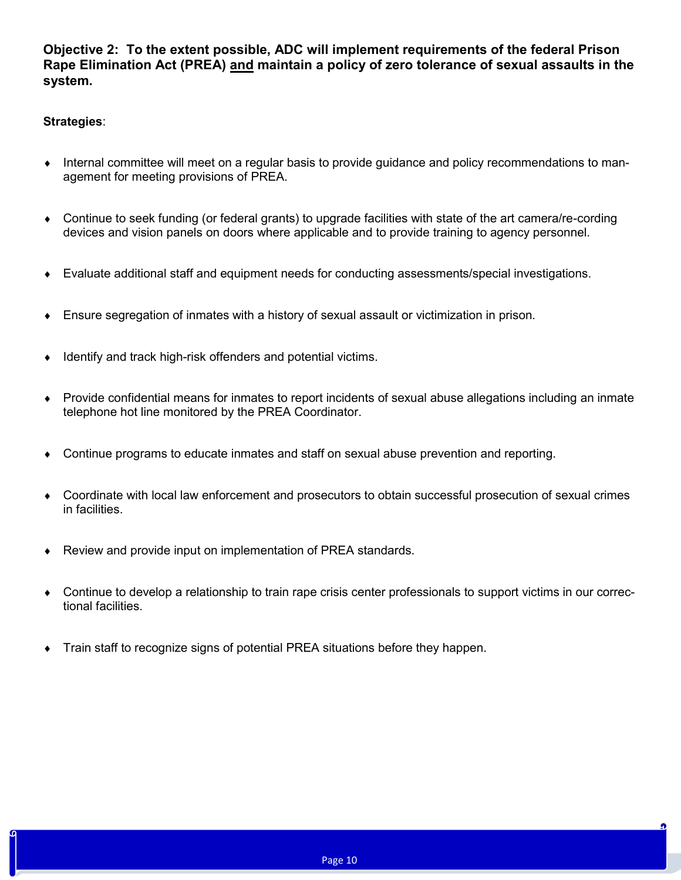**Objective 2: To the extent possible, ADC will implement requirements of the federal Prison Rape Elimination Act (PREA) and maintain a policy of zero tolerance of sexual assaults in the system.**

- Internal committee will meet on a regular basis to provide guidance and policy recommendations to management for meeting provisions of PREA.
- Continue to seek funding (or federal grants) to upgrade facilities with state of the art camera/re-cording devices and vision panels on doors where applicable and to provide training to agency personnel.
- Evaluate additional staff and equipment needs for conducting assessments/special investigations.
- Ensure segregation of inmates with a history of sexual assault or victimization in prison.
- Identify and track high-risk offenders and potential victims.
- Provide confidential means for inmates to report incidents of sexual abuse allegations including an inmate telephone hot line monitored by the PREA Coordinator.
- Continue programs to educate inmates and staff on sexual abuse prevention and reporting.
- Coordinate with local law enforcement and prosecutors to obtain successful prosecution of sexual crimes in facilities.
- ◆ Review and provide input on implementation of PREA standards.
- Continue to develop a relationship to train rape crisis center professionals to support victims in our correctional facilities.
- Train staff to recognize signs of potential PREA situations before they happen.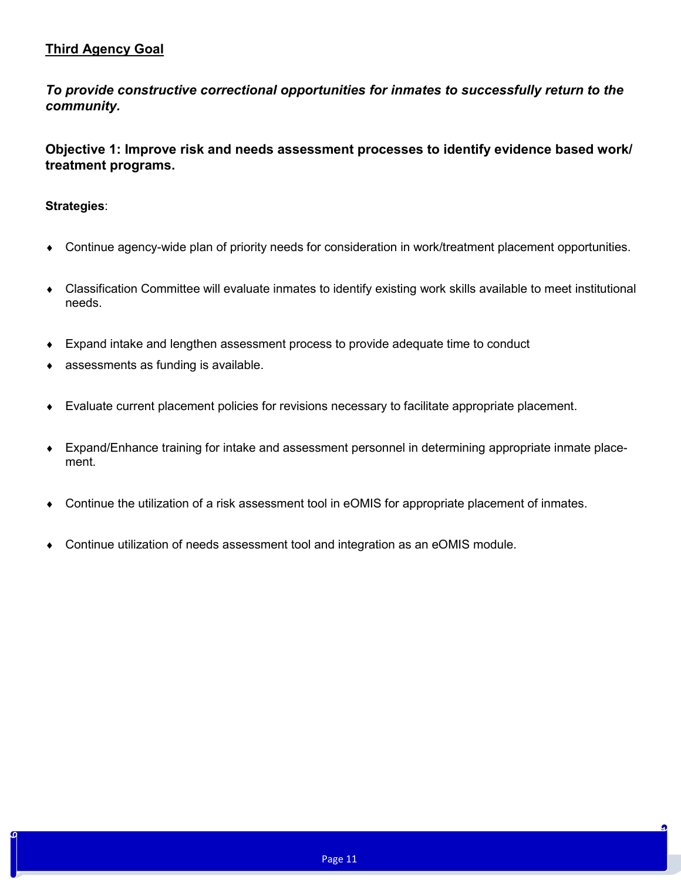# **Third Agency Goal**

*To provide constructive correctional opportunities for inmates to successfully return to the community.*

**Objective 1: Improve risk and needs assessment processes to identify evidence based work/ treatment programs.**

- Continue agency-wide plan of priority needs for consideration in work/treatment placement opportunities.
- Classification Committee will evaluate inmates to identify existing work skills available to meet institutional needs.
- Expand intake and lengthen assessment process to provide adequate time to conduct
- assessments as funding is available.
- Evaluate current placement policies for revisions necessary to facilitate appropriate placement.
- Expand/Enhance training for intake and assessment personnel in determining appropriate inmate placement.
- Continue the utilization of a risk assessment tool in eOMIS for appropriate placement of inmates.
- Continue utilization of needs assessment tool and integration as an eOMIS module.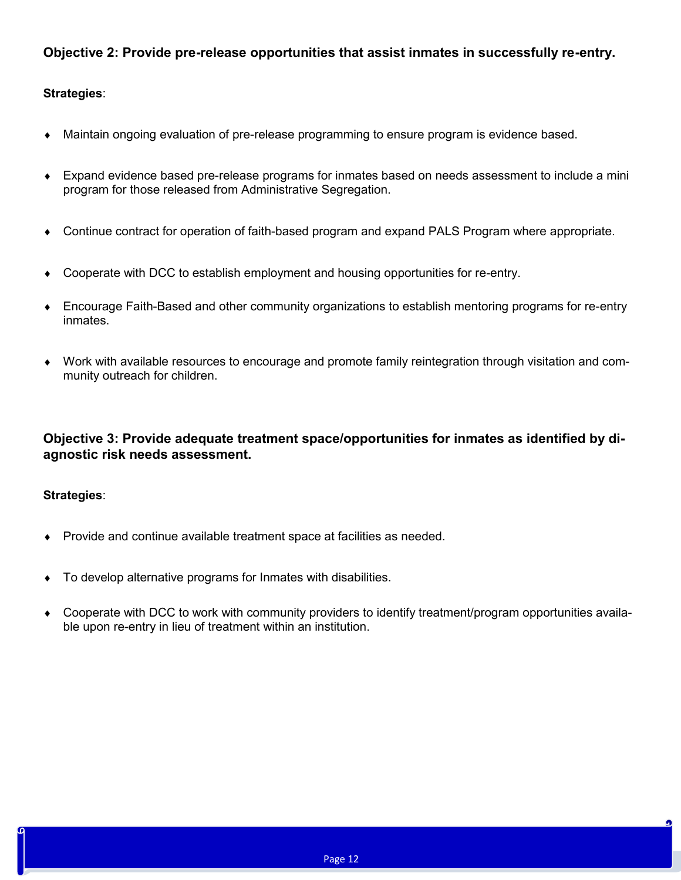# **Objective 2: Provide pre-release opportunities that assist inmates in successfully re-entry.**

### **Strategies**:

- Maintain ongoing evaluation of pre-release programming to ensure program is evidence based.
- Expand evidence based pre-release programs for inmates based on needs assessment to include a mini program for those released from Administrative Segregation.
- Continue contract for operation of faith-based program and expand PALS Program where appropriate.
- Cooperate with DCC to establish employment and housing opportunities for re-entry.
- Encourage Faith-Based and other community organizations to establish mentoring programs for re-entry inmates.
- Work with available resources to encourage and promote family reintegration through visitation and community outreach for children.

# **Objective 3: Provide adequate treatment space/opportunities for inmates as identified by diagnostic risk needs assessment.**

- Provide and continue available treatment space at facilities as needed.
- To develop alternative programs for Inmates with disabilities.
- Cooperate with DCC to work with community providers to identify treatment/program opportunities available upon re-entry in lieu of treatment within an institution.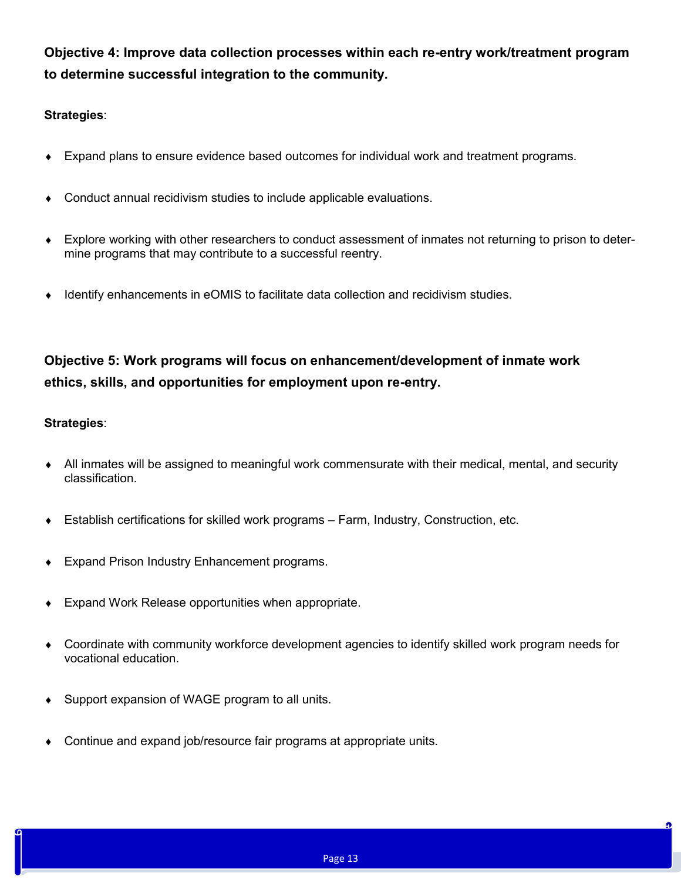**Objective 4: Improve data collection processes within each re-entry work/treatment program to determine successful integration to the community.**

### **Strategies**:

- Expand plans to ensure evidence based outcomes for individual work and treatment programs.
- Conduct annual recidivism studies to include applicable evaluations.
- Explore working with other researchers to conduct assessment of inmates not returning to prison to determine programs that may contribute to a successful reentry.
- Identify enhancements in eOMIS to facilitate data collection and recidivism studies.

# **Objective 5: Work programs will focus on enhancement/development of inmate work ethics, skills, and opportunities for employment upon re-entry.**

- All inmates will be assigned to meaningful work commensurate with their medical, mental, and security classification.
- Establish certifications for skilled work programs Farm, Industry, Construction, etc.
- Expand Prison Industry Enhancement programs.
- Expand Work Release opportunities when appropriate.
- Coordinate with community workforce development agencies to identify skilled work program needs for vocational education.
- Support expansion of WAGE program to all units.
- Continue and expand job/resource fair programs at appropriate units.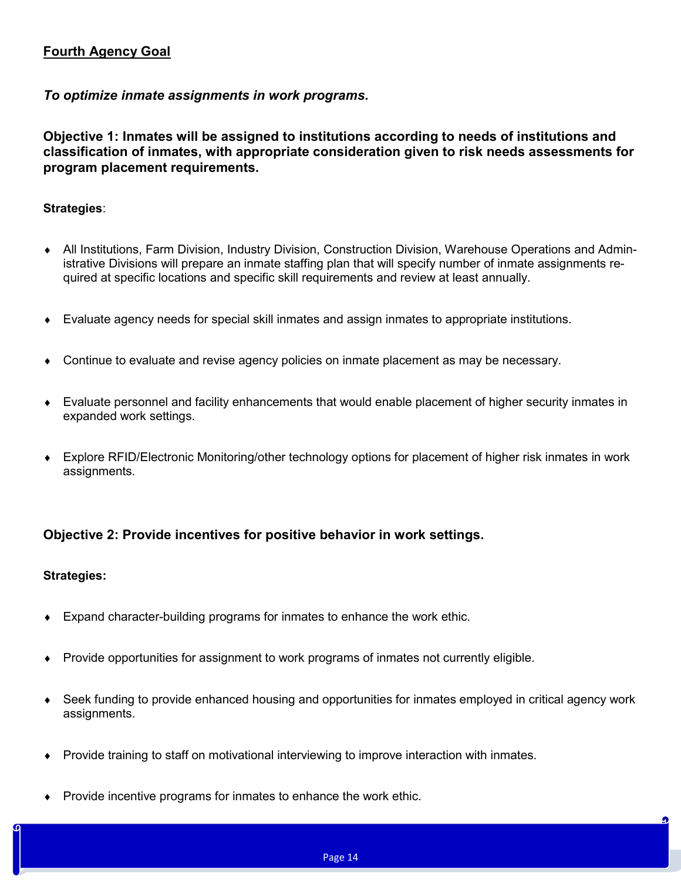# **Fourth Agency Goal**

### *To optimize inmate assignments in work programs.*

**Objective 1: Inmates will be assigned to institutions according to needs of institutions and classification of inmates, with appropriate consideration given to risk needs assessments for program placement requirements.**

### **Strategies**:

- All Institutions, Farm Division, Industry Division, Construction Division, Warehouse Operations and Administrative Divisions will prepare an inmate staffing plan that will specify number of inmate assignments required at specific locations and specific skill requirements and review at least annually.
- Evaluate agency needs for special skill inmates and assign inmates to appropriate institutions.
- Continue to evaluate and revise agency policies on inmate placement as may be necessary.
- Evaluate personnel and facility enhancements that would enable placement of higher security inmates in expanded work settings.
- Explore RFID/Electronic Monitoring/other technology options for placement of higher risk inmates in work assignments.

# **Objective 2: Provide incentives for positive behavior in work settings.**

- Expand character-building programs for inmates to enhance the work ethic.
- Provide opportunities for assignment to work programs of inmates not currently eligible.
- Seek funding to provide enhanced housing and opportunities for inmates employed in critical agency work assignments.
- Provide training to staff on motivational interviewing to improve interaction with inmates.
- Provide incentive programs for inmates to enhance the work ethic.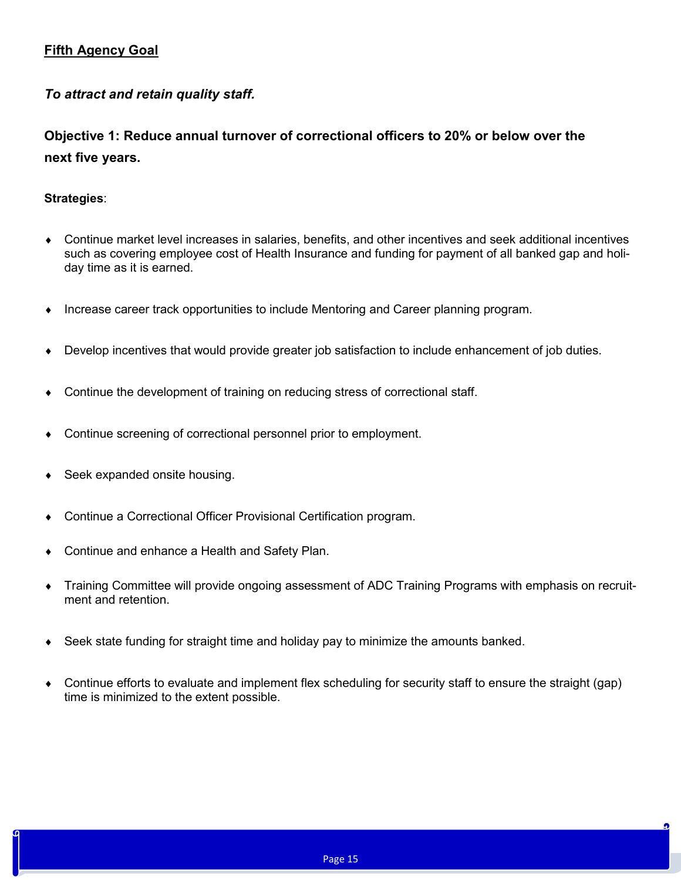# **Fifth Agency Goal**

# *To attract and retain quality staff.*

**Objective 1: Reduce annual turnover of correctional officers to 20% or below over the next five years.**

- Continue market level increases in salaries, benefits, and other incentives and seek additional incentives such as covering employee cost of Health Insurance and funding for payment of all banked gap and holiday time as it is earned.
- Increase career track opportunities to include Mentoring and Career planning program.
- Develop incentives that would provide greater job satisfaction to include enhancement of job duties.
- Continue the development of training on reducing stress of correctional staff.
- Continue screening of correctional personnel prior to employment.
- Seek expanded onsite housing.
- Continue a Correctional Officer Provisional Certification program.
- Continue and enhance a Health and Safety Plan.
- Training Committee will provide ongoing assessment of ADC Training Programs with emphasis on recruitment and retention.
- Seek state funding for straight time and holiday pay to minimize the amounts banked.
- Continue efforts to evaluate and implement flex scheduling for security staff to ensure the straight (gap) time is minimized to the extent possible.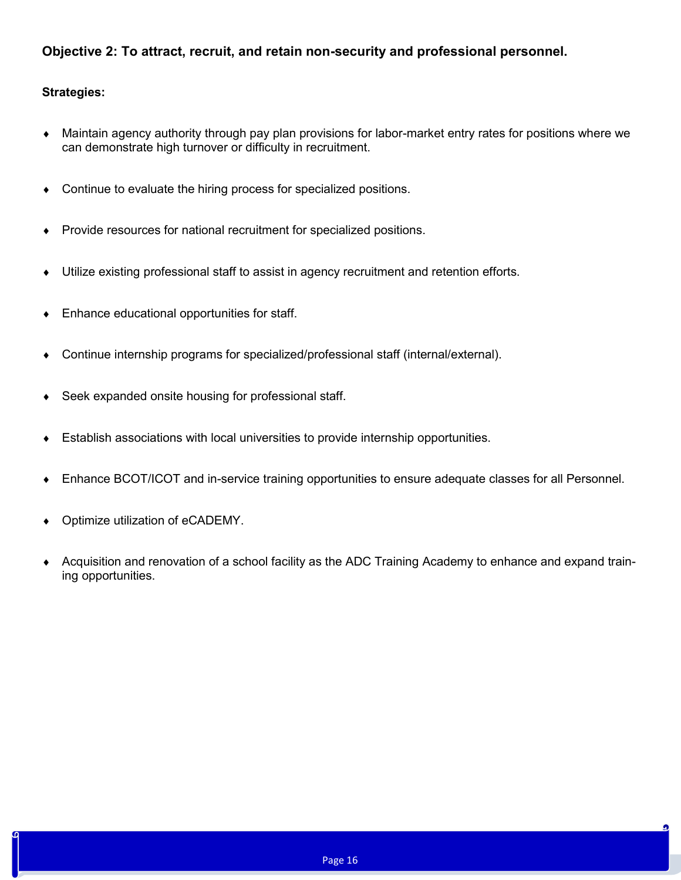# **Objective 2: To attract, recruit, and retain non-security and professional personnel.**

- Maintain agency authority through pay plan provisions for labor-market entry rates for positions where we can demonstrate high turnover or difficulty in recruitment.
- Continue to evaluate the hiring process for specialized positions.
- Provide resources for national recruitment for specialized positions.
- Utilize existing professional staff to assist in agency recruitment and retention efforts.
- Enhance educational opportunities for staff.
- Continue internship programs for specialized/professional staff (internal/external).
- ◆ Seek expanded onsite housing for professional staff.
- Establish associations with local universities to provide internship opportunities.
- Enhance BCOT/ICOT and in-service training opportunities to ensure adequate classes for all Personnel.
- Optimize utilization of eCADEMY.
- Acquisition and renovation of a school facility as the ADC Training Academy to enhance and expand training opportunities.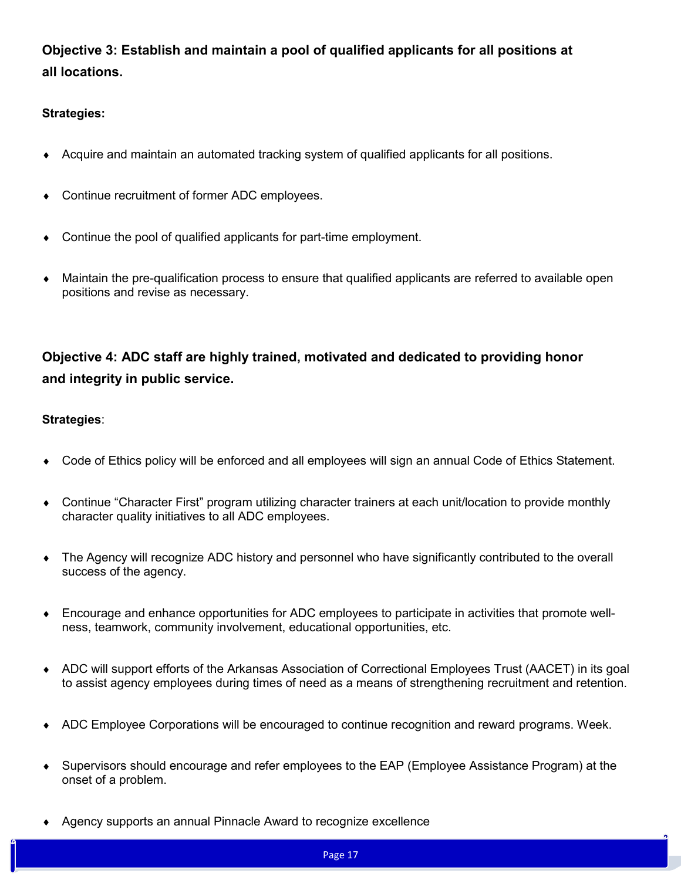**Objective 3: Establish and maintain a pool of qualified applicants for all positions at all locations.**

### **Strategies:**

- Acquire and maintain an automated tracking system of qualified applicants for all positions.
- Continue recruitment of former ADC employees.
- Continue the pool of qualified applicants for part-time employment.
- Maintain the pre-qualification process to ensure that qualified applicants are referred to available open positions and revise as necessary.

# **Objective 4: ADC staff are highly trained, motivated and dedicated to providing honor and integrity in public service.**

- Code of Ethics policy will be enforced and all employees will sign an annual Code of Ethics Statement.
- Continue "Character First" program utilizing character trainers at each unit/location to provide monthly character quality initiatives to all ADC employees.
- The Agency will recognize ADC history and personnel who have significantly contributed to the overall success of the agency.
- Encourage and enhance opportunities for ADC employees to participate in activities that promote wellness, teamwork, community involvement, educational opportunities, etc.
- ADC will support efforts of the Arkansas Association of Correctional Employees Trust (AACET) in its goal to assist agency employees during times of need as a means of strengthening recruitment and retention.
- ADC Employee Corporations will be encouraged to continue recognition and reward programs. Week.
- Supervisors should encourage and refer employees to the EAP (Employee Assistance Program) at the onset of a problem.
- Agency supports an annual Pinnacle Award to recognize excellence